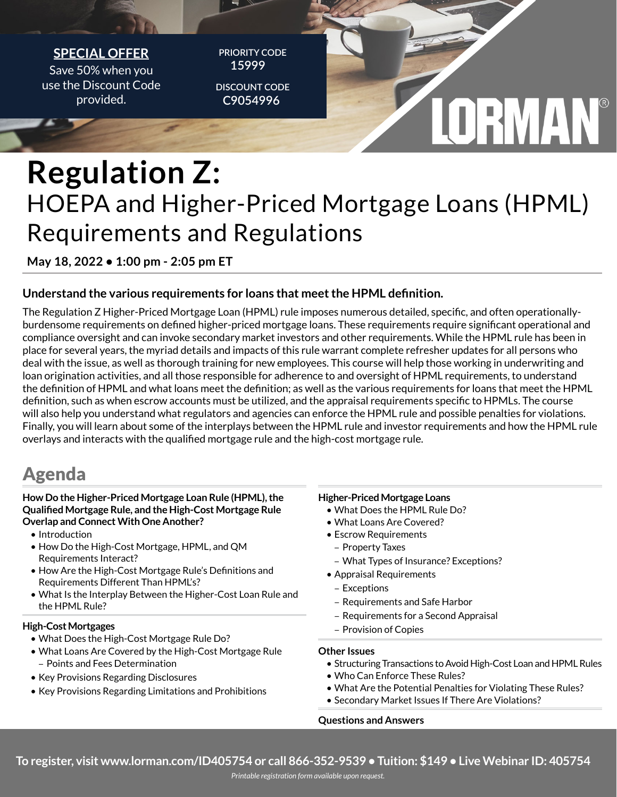

## **Regulation Z:** HOEPA and Higher-Priced Mortgage Loans (HPML) Requirements and Regulations

**May 18, 2022 • 1:00 pm - 2:05 pm ET**

#### **Understand the various requirements for loans that meet the HPML definition.**

The Regulation Z Higher-Priced Mortgage Loan (HPML) rule imposes numerous detailed, specific, and often operationallyburdensome requirements on defined higher-priced mortgage loans. These requirements require significant operational and compliance oversight and can invoke secondary market investors and other requirements. While the HPML rule has been in place for several years, the myriad details and impacts of this rule warrant complete refresher updates for all persons who deal with the issue, as well as thorough training for new employees. This course will help those working in underwriting and loan origination activities, and all those responsible for adherence to and oversight of HPML requirements, to understand the definition of HPML and what loans meet the definition; as well as the various requirements for loans that meet the HPML definition, such as when escrow accounts must be utilized, and the appraisal requirements specific to HPMLs. The course will also help you understand what regulators and agencies can enforce the HPML rule and possible penalties for violations. Finally, you will learn about some of the interplays between the HPML rule and investor requirements and how the HPML rule overlays and interacts with the qualified mortgage rule and the high-cost mortgage rule.

### Agenda

#### **How Do the Higher-Priced Mortgage Loan Rule (HPML), the Qualified Mortgage Rule, and the High-Cost Mortgage Rule Overlap and Connect With One Another?**

- • Introduction
- How Do the High-Cost Mortgage, HPML, and QM Requirements Interact?
- How Are the High-Cost Mortgage Rule's Definitions and Requirements Different Than HPML's?
- What Is the Interplay Between the Higher-Cost Loan Rule and the HPML Rule?

#### **High-Cost Mortgages**

- What Does the High-Cost Mortgage Rule Do?
- What Loans Are Covered by the High-Cost Mortgage Rule – Points and Fees Determination
- Key Provisions Regarding Disclosures
- Key Provisions Regarding Limitations and Prohibitions

#### **Higher-Priced Mortgage Loans**

- • What Does the HPML Rule Do?
- What Loans Are Covered?
- Escrow Requirements
	- Property Taxes
	- What Types of Insurance? Exceptions?
- • Appraisal Requirements
	- Exceptions
- Requirements and Safe Harbor
- Requirements for a Second Appraisal
- Provision of Copies

#### **Other Issues**

- Structuring Transactions to Avoid High-Cost Loan and HPML Rules
- Who Can Enforce These Rules?
- What Are the Potential Penalties for Violating These Rules?
- Secondary Market Issues If There Are Violations?

#### **Questions and Answers**

**To register, visit www.lorman.com/ID405754 or call 866-352-9539 • Tuition: \$149 • Live Webinar ID: 405754**